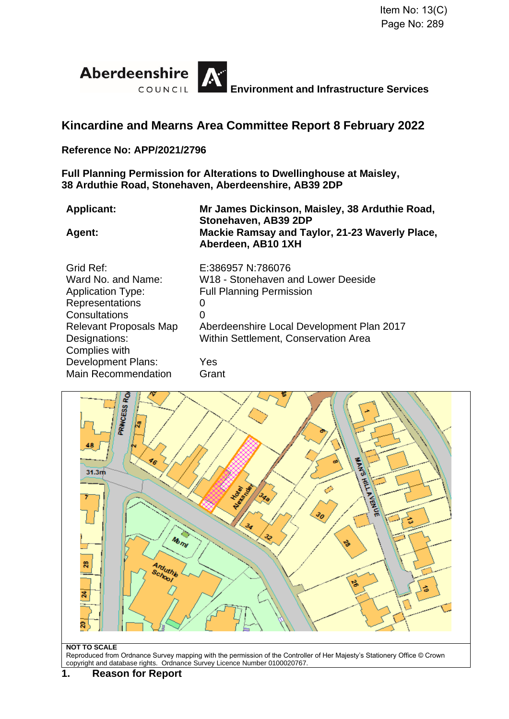

# **Kincardine and Mearns Area Committee Report 8 February 2022**

#### **Reference No: APP/2021/2796**

**Full Planning Permission for Alterations to Dwellinghouse at Maisley, 38 Arduthie Road, Stonehaven, Aberdeenshire, AB39 2DP**

**Applicant: Mr James Dickinson, Maisley, 38 Arduthie Road, Stonehaven, AB39 2DP Agent: Mackie Ramsay and Taylor, 21-23 Waverly Place, Aberdeen, AB10 1XH**

| Grid Ref:                     | E:386957 N:786076                           |
|-------------------------------|---------------------------------------------|
| Ward No. and Name:            | W18 - Stonehaven and Lower Deeside          |
| <b>Application Type:</b>      | <b>Full Planning Permission</b>             |
| Representations               | 0                                           |
| Consultations                 | 0                                           |
| <b>Relevant Proposals Map</b> | Aberdeenshire Local Development Plan 2017   |
| Designations:                 | <b>Within Settlement, Conservation Area</b> |
| Complies with                 |                                             |
| <b>Development Plans:</b>     | Yes                                         |
| <b>Main Recommendation</b>    | Grant                                       |



#### **NOT TO SCALE**

Reproduced from Ordnance Survey mapping with the permission of the Controller of Her Majesty's Stationery Office © Crown copyright and database rights. Ordnance Survey Licence Number 0100020767.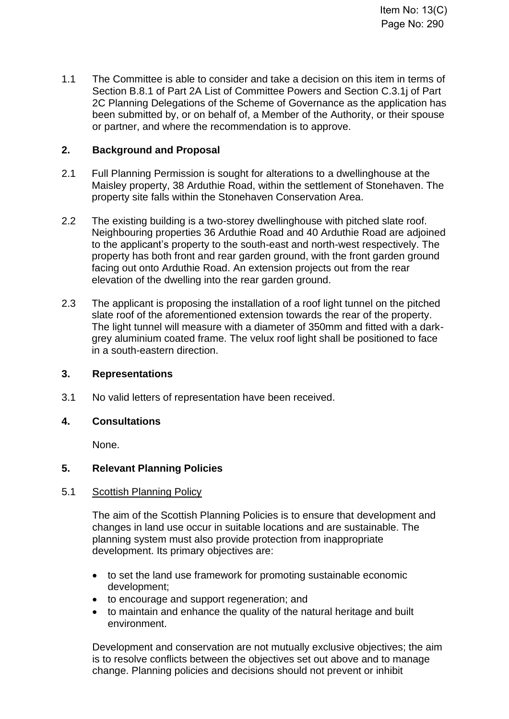1.1 The Committee is able to consider and take a decision on this item in terms of Section B.8.1 of Part 2A List of Committee Powers and Section C.3.1j of Part 2C Planning Delegations of the Scheme of Governance as the application has been submitted by, or on behalf of, a Member of the Authority, or their spouse or partner, and where the recommendation is to approve.

### **2. Background and Proposal**

- 2.1 Full Planning Permission is sought for alterations to a dwellinghouse at the Maisley property, 38 Arduthie Road, within the settlement of Stonehaven. The property site falls within the Stonehaven Conservation Area.
- 2.2 The existing building is a two-storey dwellinghouse with pitched slate roof. Neighbouring properties 36 Arduthie Road and 40 Arduthie Road are adjoined to the applicant's property to the south-east and north-west respectively. The property has both front and rear garden ground, with the front garden ground facing out onto Arduthie Road. An extension projects out from the rear elevation of the dwelling into the rear garden ground.
- 2.3 The applicant is proposing the installation of a roof light tunnel on the pitched slate roof of the aforementioned extension towards the rear of the property. The light tunnel will measure with a diameter of 350mm and fitted with a darkgrey aluminium coated frame. The velux roof light shall be positioned to face in a south-eastern direction.

### **3. Representations**

3.1 No valid letters of representation have been received.

### **4. Consultations**

None.

### **5. Relevant Planning Policies**

### 5.1 Scottish Planning Policy

The aim of the Scottish Planning Policies is to ensure that development and changes in land use occur in suitable locations and are sustainable. The planning system must also provide protection from inappropriate development. Its primary objectives are:

- to set the land use framework for promoting sustainable economic development;
- to encourage and support regeneration; and
- to maintain and enhance the quality of the natural heritage and built environment.

Development and conservation are not mutually exclusive objectives; the aim is to resolve conflicts between the objectives set out above and to manage change. Planning policies and decisions should not prevent or inhibit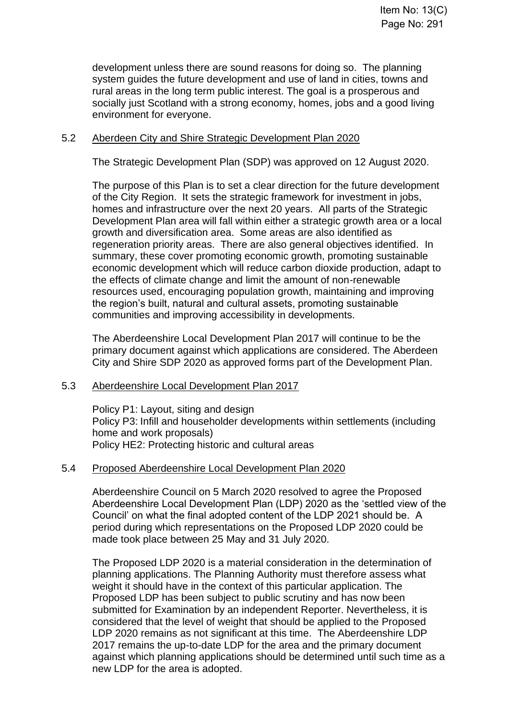development unless there are sound reasons for doing so. The planning system guides the future development and use of land in cities, towns and rural areas in the long term public interest. The goal is a prosperous and socially just Scotland with a strong economy, homes, jobs and a good living environment for everyone.

#### 5.2 Aberdeen City and Shire Strategic Development Plan 2020

The Strategic Development Plan (SDP) was approved on 12 August 2020.

The purpose of this Plan is to set a clear direction for the future development of the City Region. It sets the strategic framework for investment in jobs, homes and infrastructure over the next 20 years. All parts of the Strategic Development Plan area will fall within either a strategic growth area or a local growth and diversification area. Some areas are also identified as regeneration priority areas. There are also general objectives identified. In summary, these cover promoting economic growth, promoting sustainable economic development which will reduce carbon dioxide production, adapt to the effects of climate change and limit the amount of non-renewable resources used, encouraging population growth, maintaining and improving the region's built, natural and cultural assets, promoting sustainable communities and improving accessibility in developments.

The Aberdeenshire Local Development Plan 2017 will continue to be the primary document against which applications are considered. The Aberdeen City and Shire SDP 2020 as approved forms part of the Development Plan.

#### 5.3 Aberdeenshire Local Development Plan 2017

Policy P1: Layout, siting and design Policy P3: Infill and householder developments within settlements (including home and work proposals) Policy HE2: Protecting historic and cultural areas

#### 5.4 Proposed Aberdeenshire Local Development Plan 2020

Aberdeenshire Council on 5 March 2020 resolved to agree the Proposed Aberdeenshire Local Development Plan (LDP) 2020 as the 'settled view of the Council' on what the final adopted content of the LDP 2021 should be. A period during which representations on the Proposed LDP 2020 could be made took place between 25 May and 31 July 2020.

The Proposed LDP 2020 is a material consideration in the determination of planning applications. The Planning Authority must therefore assess what weight it should have in the context of this particular application. The Proposed LDP has been subject to public scrutiny and has now been submitted for Examination by an independent Reporter. Nevertheless, it is considered that the level of weight that should be applied to the Proposed LDP 2020 remains as not significant at this time. The Aberdeenshire LDP 2017 remains the up-to-date LDP for the area and the primary document against which planning applications should be determined until such time as a new LDP for the area is adopted.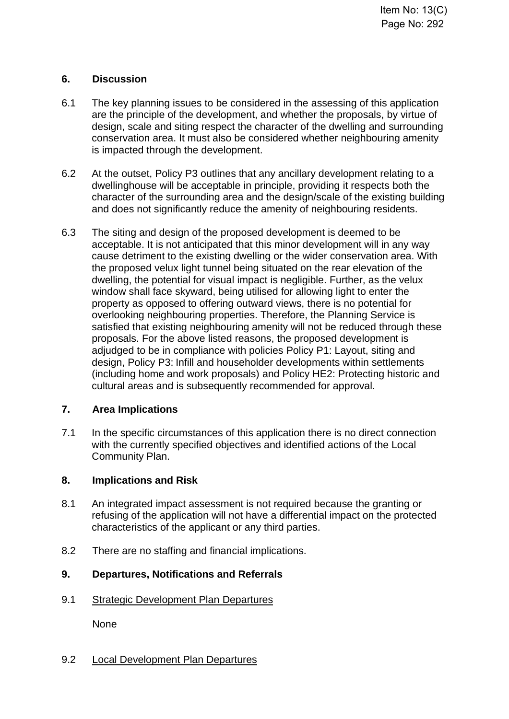#### **6. Discussion**

- 6.1 The key planning issues to be considered in the assessing of this application are the principle of the development, and whether the proposals, by virtue of design, scale and siting respect the character of the dwelling and surrounding conservation area. It must also be considered whether neighbouring amenity is impacted through the development.
- 6.2 At the outset, Policy P3 outlines that any ancillary development relating to a dwellinghouse will be acceptable in principle, providing it respects both the character of the surrounding area and the design/scale of the existing building and does not significantly reduce the amenity of neighbouring residents.
- 6.3 The siting and design of the proposed development is deemed to be acceptable. It is not anticipated that this minor development will in any way cause detriment to the existing dwelling or the wider conservation area. With the proposed velux light tunnel being situated on the rear elevation of the dwelling, the potential for visual impact is negligible. Further, as the velux window shall face skyward, being utilised for allowing light to enter the property as opposed to offering outward views, there is no potential for overlooking neighbouring properties. Therefore, the Planning Service is satisfied that existing neighbouring amenity will not be reduced through these proposals. For the above listed reasons, the proposed development is adjudged to be in compliance with policies Policy P1: Layout, siting and design, Policy P3: Infill and householder developments within settlements (including home and work proposals) and Policy HE2: Protecting historic and cultural areas and is subsequently recommended for approval.

### **7. Area Implications**

7.1 In the specific circumstances of this application there is no direct connection with the currently specified objectives and identified actions of the Local Community Plan.

#### **8. Implications and Risk**

- 8.1 An integrated impact assessment is not required because the granting or refusing of the application will not have a differential impact on the protected characteristics of the applicant or any third parties.
- 8.2 There are no staffing and financial implications.

## **9. Departures, Notifications and Referrals**

9.1 Strategic Development Plan Departures

None

9.2 Local Development Plan Departures